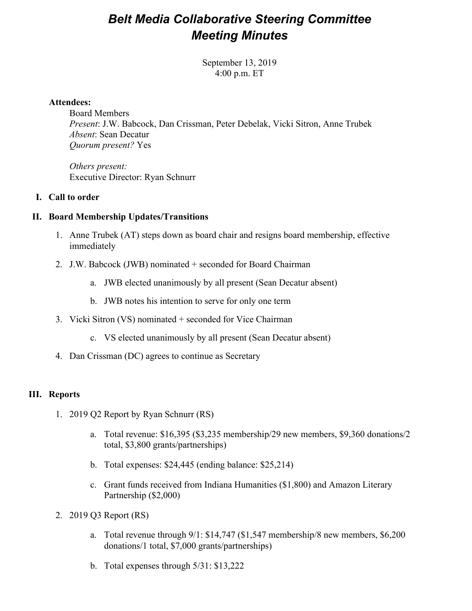# *Belt Media Collaborative Steering Committee Meeting Minutes*

September 13, 2019 4:00 p.m. ET

#### **Attendees:**

Board Members *Present*: J.W. Babcock, Dan Crissman, Peter Debelak, Vicki Sitron, Anne Trubek *Absent*: Sean Decatur *Quorum present?* Yes

*Others present:* Executive Director: Ryan Schnurr

### **I. Call to order**

### **II. Board Membership Updates/Transitions**

- 1. Anne Trubek (AT) steps down as board chair and resigns board membership, effective immediately
- 2. J.W. Babcock (JWB) nominated + seconded for Board Chairman
	- a. JWB elected unanimously by all present (Sean Decatur absent)
	- b. JWB notes his intention to serve for only one term
- 3. Vicki Sitron (VS) nominated + seconded for Vice Chairman
	- c. VS elected unanimously by all present (Sean Decatur absent)
- 4. Dan Crissman (DC) agrees to continue as Secretary

#### **III. Reports**

- 1. 2019 Q2 Report by Ryan Schnurr (RS)
	- a. Total revenue: \$16,395 (\$3,235 membership/29 new members, \$9,360 donations/2 total, \$3,800 grants/partnerships)
	- b. Total expenses: \$24,445 (ending balance: \$25,214)
	- c. Grant funds received from Indiana Humanities (\$1,800) and Amazon Literary Partnership (\$2,000)
- 2. 2019 Q3 Report (RS)
	- a. Total revenue through 9/1: \$14,747 (\$1,547 membership/8 new members, \$6,200 donations/1 total, \$7,000 grants/partnerships)
	- b. Total expenses through 5/31: \$13,222